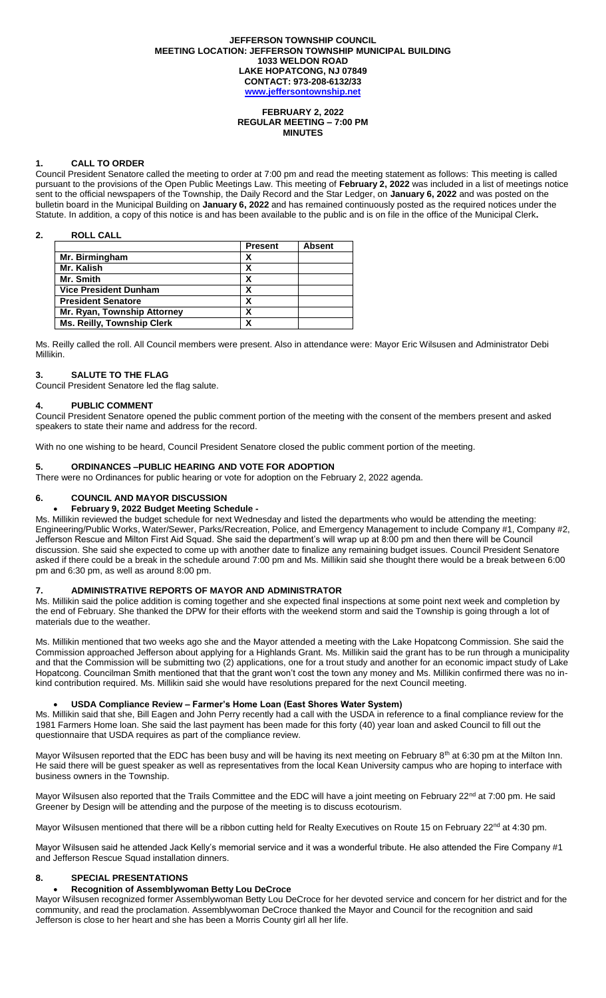#### **JEFFERSON TOWNSHIP COUNCIL MEETING LOCATION: JEFFERSON TOWNSHIP MUNICIPAL BUILDING 1033 WELDON ROAD LAKE HOPATCONG, NJ 07849 CONTACT: 973-208-6132/33 [www.jeffersontownship.net](http://www.jeffersontownship.net/)**

#### **FEBRUARY 2, 2022 REGULAR MEETING – 7:00 PM MINUTES**

## **1. CALL TO ORDER**

Council President Senatore called the meeting to order at 7:00 pm and read the meeting statement as follows: This meeting is called pursuant to the provisions of the Open Public Meetings Law. This meeting of **February 2, 2022** was included in a list of meetings notice sent to the official newspapers of the Township, the Daily Record and the Star Ledger, on **January 6, 2022** and was posted on the bulletin board in the Municipal Building on **January 6, 2022** and has remained continuously posted as the required notices under the Statute. In addition, a copy of this notice is and has been available to the public and is on file in the office of the Municipal Clerk**.** 

# **2. ROLL CALL**

|                                   | <b>Present</b> | <b>Absent</b> |
|-----------------------------------|----------------|---------------|
| Mr. Birmingham                    |                |               |
| Mr. Kalish                        | X              |               |
| Mr. Smith                         |                |               |
| <b>Vice President Dunham</b>      |                |               |
| <b>President Senatore</b>         |                |               |
| Mr. Ryan, Township Attorney       | x              |               |
| <b>Ms. Reilly, Township Clerk</b> |                |               |

Ms. Reilly called the roll. All Council members were present. Also in attendance were: Mayor Eric Wilsusen and Administrator Debi Millikin.

# **3. SALUTE TO THE FLAG**

Council President Senatore led the flag salute.

# **4. PUBLIC COMMENT**

Council President Senatore opened the public comment portion of the meeting with the consent of the members present and asked speakers to state their name and address for the record.

With no one wishing to be heard, Council President Senatore closed the public comment portion of the meeting.

# **5. ORDINANCES –PUBLIC HEARING AND VOTE FOR ADOPTION**

There were no Ordinances for public hearing or vote for adoption on the February 2, 2022 agenda.

# **6. COUNCIL AND MAYOR DISCUSSION**

# **February 9, 2022 Budget Meeting Schedule -**

Ms. Millikin reviewed the budget schedule for next Wednesday and listed the departments who would be attending the meeting: Engineering/Public Works, Water/Sewer, Parks/Recreation, Police, and Emergency Management to include Company #1, Company #2, Jefferson Rescue and Milton First Aid Squad. She said the department's will wrap up at 8:00 pm and then there will be Council discussion. She said she expected to come up with another date to finalize any remaining budget issues. Council President Senatore asked if there could be a break in the schedule around 7:00 pm and Ms. Millikin said she thought there would be a break between 6:00 pm and 6:30 pm, as well as around 8:00 pm.

# **7. ADMINISTRATIVE REPORTS OF MAYOR AND ADMINISTRATOR**

Ms. Millikin said the police addition is coming together and she expected final inspections at some point next week and completion by the end of February. She thanked the DPW for their efforts with the weekend storm and said the Township is going through a lot of materials due to the weather.

Ms. Millikin mentioned that two weeks ago she and the Mayor attended a meeting with the Lake Hopatcong Commission. She said the Commission approached Jefferson about applying for a Highlands Grant. Ms. Millikin said the grant has to be run through a municipality and that the Commission will be submitting two (2) applications, one for a trout study and another for an economic impact study of Lake Hopatcong. Councilman Smith mentioned that that the grant won't cost the town any money and Ms. Millikin confirmed there was no inkind contribution required. Ms. Millikin said she would have resolutions prepared for the next Council meeting.

# **USDA Compliance Review – Farmer's Home Loan (East Shores Water System)**

Ms. Millikin said that she, Bill Eagen and John Perry recently had a call with the USDA in reference to a final compliance review for the 1981 Farmers Home loan. She said the last payment has been made for this forty (40) year loan and asked Council to fill out the questionnaire that USDA requires as part of the compliance review.

Mayor Wilsusen reported that the EDC has been busy and will be having its next meeting on February 8<sup>th</sup> at 6:30 pm at the Milton Inn. He said there will be guest speaker as well as representatives from the local Kean University campus who are hoping to interface with business owners in the Township.

Mayor Wilsusen also reported that the Trails Committee and the EDC will have a joint meeting on February 22<sup>nd</sup> at 7:00 pm. He said Greener by Design will be attending and the purpose of the meeting is to discuss ecotourism.

Mayor Wilsusen mentioned that there will be a ribbon cutting held for Realty Executives on Route 15 on February 22<sup>nd</sup> at 4:30 pm.

Mayor Wilsusen said he attended Jack Kelly's memorial service and it was a wonderful tribute. He also attended the Fire Company #1 and Jefferson Rescue Squad installation dinners.

# **8. [SPECIAL PRESENTATIONS](file://///JR2DATA/Clerk/Council%20Documents/Meetings/2018%20Meetings/EAGLE%20SCOUTS)**

# **Recognition of Assemblywoman Betty Lou DeCroce**

Mayor Wilsusen recognized former Assemblywoman Betty Lou DeCroce for her devoted service and concern for her district and for the community, and read the proclamation. Assemblywoman DeCroce thanked the Mayor and Council for the recognition and said Jefferson is close to her heart and she has been a Morris County girl all her life.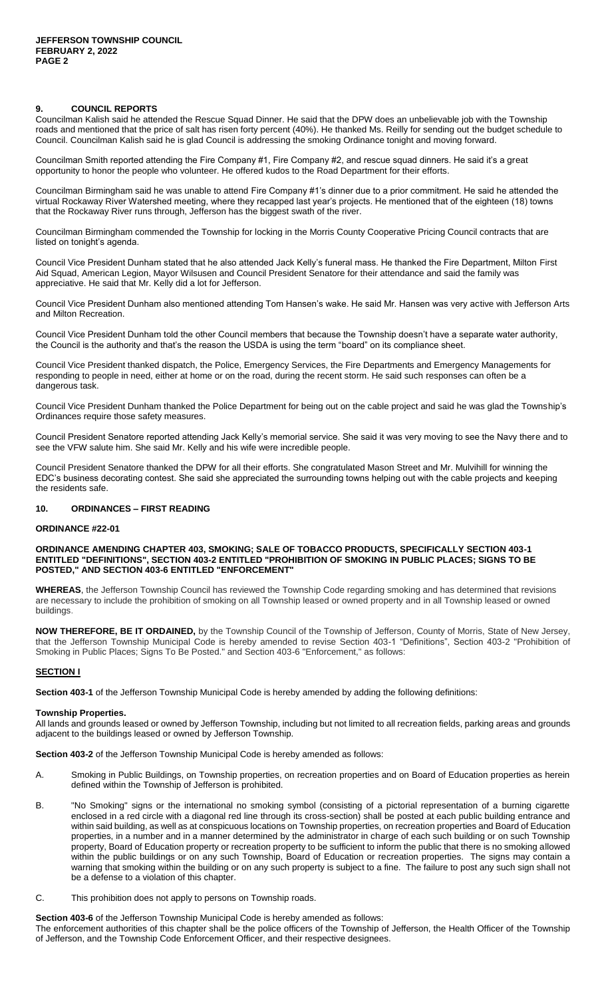## **9. COUNCIL REPORTS**

Councilman Kalish said he attended the Rescue Squad Dinner. He said that the DPW does an unbelievable job with the Township roads and mentioned that the price of salt has risen forty percent (40%). He thanked Ms. Reilly for sending out the budget schedule to Council. Councilman Kalish said he is glad Council is addressing the smoking Ordinance tonight and moving forward.

Councilman Smith reported attending the Fire Company #1, Fire Company #2, and rescue squad dinners. He said it's a great opportunity to honor the people who volunteer. He offered kudos to the Road Department for their efforts.

Councilman Birmingham said he was unable to attend Fire Company #1's dinner due to a prior commitment. He said he attended the virtual Rockaway River Watershed meeting, where they recapped last year's projects. He mentioned that of the eighteen (18) towns that the Rockaway River runs through, Jefferson has the biggest swath of the river.

Councilman Birmingham commended the Township for locking in the Morris County Cooperative Pricing Council contracts that are listed on tonight's agenda.

Council Vice President Dunham stated that he also attended Jack Kelly's funeral mass. He thanked the Fire Department, Milton First Aid Squad, American Legion, Mayor Wilsusen and Council President Senatore for their attendance and said the family was appreciative. He said that Mr. Kelly did a lot for Jefferson.

Council Vice President Dunham also mentioned attending Tom Hansen's wake. He said Mr. Hansen was very active with Jefferson Arts and Milton Recreation.

Council Vice President Dunham told the other Council members that because the Township doesn't have a separate water authority, the Council is the authority and that's the reason the USDA is using the term "board" on its compliance sheet.

Council Vice President thanked dispatch, the Police, Emergency Services, the Fire Departments and Emergency Managements for responding to people in need, either at home or on the road, during the recent storm. He said such responses can often be a dangerous task.

Council Vice President Dunham thanked the Police Department for being out on the cable project and said he was glad the Township's Ordinances require those safety measures.

Council President Senatore reported attending Jack Kelly's memorial service. She said it was very moving to see the Navy there and to see the VFW salute him. She said Mr. Kelly and his wife were incredible people.

Council President Senatore thanked the DPW for all their efforts. She congratulated Mason Street and Mr. Mulvihill for winning the EDC's business decorating contest. She said she appreciated the surrounding towns helping out with the cable projects and keeping the residents safe.

# **10. ORDINANCES – FIRST READING**

## **ORDINANCE #22-01**

**ORDINANCE AMENDING CHAPTER 403, SMOKING; SALE OF TOBACCO PRODUCTS, SPECIFICALLY SECTION 403-1 ENTITLED "DEFINITIONS", SECTION 403-2 ENTITLED "PROHIBITION OF SMOKING IN PUBLIC PLACES; SIGNS TO BE POSTED," AND SECTION 403-6 ENTITLED "ENFORCEMENT"**

**WHEREAS**, the Jefferson Township Council has reviewed the Township Code regarding smoking and has determined that revisions are necessary to include the prohibition of smoking on all Township leased or owned property and in all Township leased or owned buildings.

**NOW THEREFORE, BE IT ORDAINED,** by the Township Council of the Township of Jefferson, County of Morris, State of New Jersey, that the Jefferson Township Municipal Code is hereby amended to revise Section 403-1 "Definitions", Section 403-2 "Prohibition of Smoking in Public Places; Signs To Be Posted." and Section 403-6 "Enforcement," as follows:

# **SECTION I**

**Section 403-1** of the Jefferson Township Municipal Code is hereby amended by adding the following definitions:

#### **Township Properties.**

All lands and grounds leased or owned by Jefferson Township, including but not limited to all recreation fields, parking areas and grounds adjacent to the buildings leased or owned by Jefferson Township.

**Section 403-2** of the Jefferson Township Municipal Code is hereby amended as follows:

- A. Smoking in Public Buildings, on Township properties, on recreation properties and on Board of Education properties as herein defined within the Township of Jefferson is prohibited.
- B. "No Smoking" signs or the international no smoking symbol (consisting of a pictorial representation of a burning cigarette enclosed in a red circle with a diagonal red line through its cross-section) shall be posted at each public building entrance and within said building, as well as at conspicuous locations on Township properties, on recreation properties and Board of Education properties, in a number and in a manner determined by the administrator in charge of each such building or on such Township property, Board of Education property or recreation property to be sufficient to inform the public that there is no smoking allowed within the public buildings or on any such Township, Board of Education or recreation properties. The signs may contain a warning that smoking within the building or on any such property is subject to a fine. The failure to post any such sign shall not be a defense to a violation of this chapter.
- C. This prohibition does not apply to persons on Township roads.

**Section 403-6** of the Jefferson Township Municipal Code is hereby amended as follows:

The enforcement authorities of this chapter shall be the police officers of the Township of Jefferson, the Health Officer of the Township of Jefferson, and the Township Code Enforcement Officer, and their respective designees.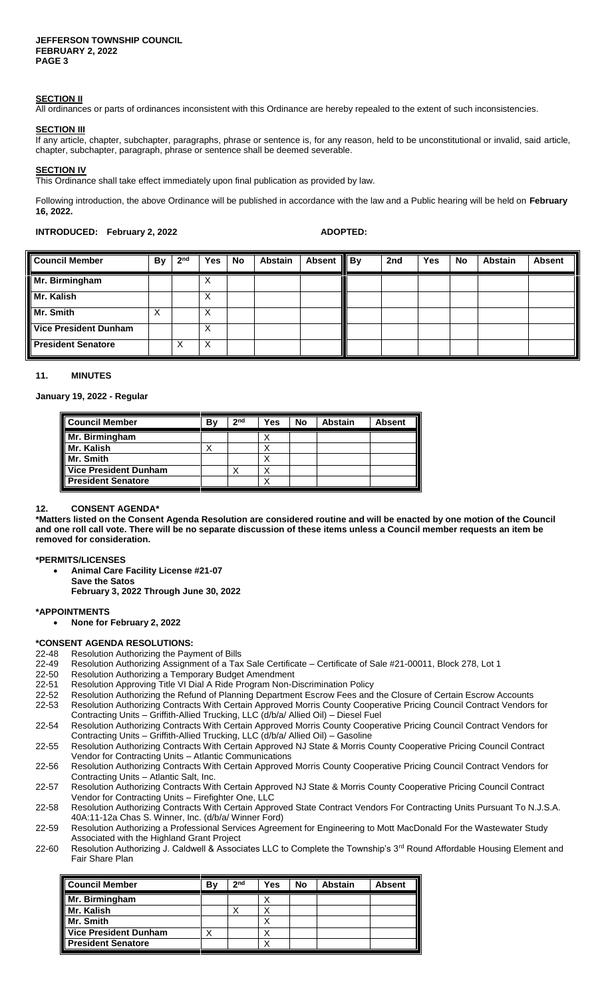## **SECTION II**

All ordinances or parts of ordinances inconsistent with this Ordinance are hereby repealed to the extent of such inconsistencies.

#### **SECTION III**

If any article, chapter, subchapter, paragraphs, phrase or sentence is, for any reason, held to be unconstitutional or invalid, said article, chapter, subchapter, paragraph, phrase or sentence shall be deemed severable.

# **SECTION IV**

This Ordinance shall take effect immediately upon final publication as provided by law.

Following introduction, the above Ordinance will be published in accordance with the law and a Public hearing will be held on **February 16, 2022.**

# **INTRODUCED:** February 2, 2022 **ADOPTED:**

| <b>Council Member</b>        | <b>By</b> | 2 <sup>nd</sup> | <b>Yes</b> | No | <b>Abstain</b> | <b>Absent</b> | <b>By</b> | 2nd | Yes | <b>No</b> | <b>Abstain</b> | <b>Absent</b> |
|------------------------------|-----------|-----------------|------------|----|----------------|---------------|-----------|-----|-----|-----------|----------------|---------------|
| Mr. Birmingham               |           |                 | X          |    |                |               |           |     |     |           |                |               |
| Mr. Kalish                   |           |                 | X          |    |                |               |           |     |     |           |                |               |
| Mr. Smith                    | ⋏         |                 | X          |    |                |               |           |     |     |           |                |               |
| <b>Vice President Dunham</b> |           |                 | X          |    |                |               |           |     |     |           |                |               |
| <b>President Senatore</b>    |           | Х               | X          |    |                |               |           |     |     |           |                |               |

#### **11. MINUTES**

# **January 19, 2022 - Regular**

| <b>Council Member</b>        | Βv | 2 <sub>nd</sub> | Yes | No | <b>Abstain</b> | <b>Absent</b> |
|------------------------------|----|-----------------|-----|----|----------------|---------------|
| Mr. Birmingham               |    |                 | Χ   |    |                |               |
| Mr. Kalish                   |    |                 | Χ   |    |                |               |
| Mr. Smith                    |    |                 | Χ   |    |                |               |
| <b>Vice President Dunham</b> |    |                 | Χ   |    |                |               |
| <b>President Senatore</b>    |    |                 |     |    |                |               |

#### **12. CONSENT AGENDA\***

**\*Matters listed on the Consent Agenda Resolution are considered routine and will be enacted by one motion of the Council and one roll call vote. There will be no separate discussion of these items unless a Council member requests an item be removed for consideration.**

# **\*PERMITS/LICENSES**

- **Animal Care Facility License #21-07**
	- **Save the Satos**

**February 3, 2022 Through June 30, 2022**

## **\*APPOINTMENTS**

**None for February 2, 2022**

#### **\*CONSENT AGENDA RESOLUTIONS:**

- 22-48 Resolution Authorizing the Payment of Bills
- 22-49 Resolution Authorizing Assignment of a Tax Sale Certificate Certificate of Sale #21-00011, Block 278, Lot 1
- 22-50 Resolution Authorizing a Temporary Budget Amendment
- 22-51 Resolution Approving Title VI Dial A Ride Program Non-Discrimination Policy
- 22-52 Resolution Authorizing the Refund of Planning Department Escrow Fees and the Closure of Certain Escrow Accounts
- 22-53 Resolution Authorizing Contracts With Certain Approved Morris County Cooperative Pricing Council Contract Vendors for Contracting Units – Griffith-Allied Trucking, LLC (d/b/a/ Allied Oil) – Diesel Fuel
- 22-54 Resolution Authorizing Contracts With Certain Approved Morris County Cooperative Pricing Council Contract Vendors for
- Contracting Units Griffith-Allied Trucking, LLC (d/b/a/ Allied Oil) Gasoline 22-55 Resolution Authorizing Contracts With Certain Approved NJ State & Morris County Cooperative Pricing Council Contract
- Vendor for Contracting Units Atlantic Communications 22-56 Resolution Authorizing Contracts With Certain Approved Morris County Cooperative Pricing Council Contract Vendors for
- Contracting Units Atlantic Salt, Inc. 22-57 Resolution Authorizing Contracts With Certain Approved NJ State & Morris County Cooperative Pricing Council Contract Vendor for Contracting Units – Firefighter One, LLC
- 22-58 Resolution Authorizing Contracts With Certain Approved State Contract Vendors For Contracting Units Pursuant To N.J.S.A. 40A:11-12a Chas S. Winner, Inc. (d/b/a/ Winner Ford)
- 22-59 Resolution Authorizing a Professional Services Agreement for Engineering to Mott MacDonald For the Wastewater Study
- Associated with the Highland Grant Project 22-60 Resolution Authorizing J. Caldwell & Associates LLC to Complete the Township's 3<sup>rd</sup> Round Affordable Housing Element and Fair Share Plan

| Council Member          | B٧ | 2 <sub>nd</sub> | Yes | <b>No</b> | <b>Abstain</b> | <b>Absent</b> |
|-------------------------|----|-----------------|-----|-----------|----------------|---------------|
| Mr. Birmingham          |    |                 |     |           |                |               |
| Mr. Kalish<br>Mr. Smith |    |                 |     |           |                |               |
|                         |    |                 |     |           |                |               |
| Vice President Dunham   |    |                 |     |           |                |               |
|                         |    |                 |     |           |                |               |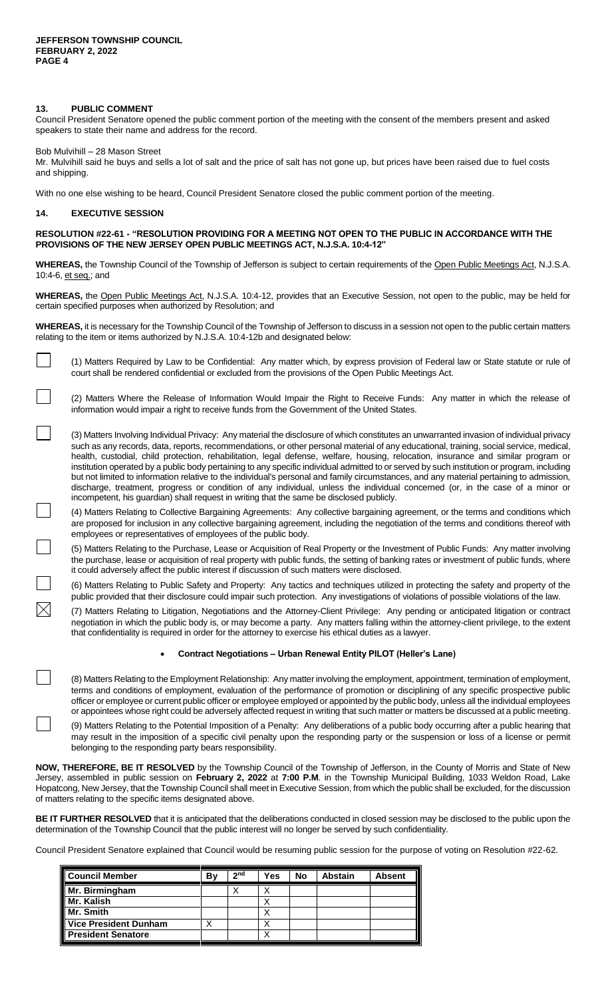# **13. PUBLIC COMMENT**

Council President Senatore opened the public comment portion of the meeting with the consent of the members present and asked speakers to state their name and address for the record.

Bob Mulvihill – 28 Mason Street

Mr. Mulvihill said he buys and sells a lot of salt and the price of salt has not gone up, but prices have been raised due to fuel costs and shipping.

With no one else wishing to be heard, Council President Senatore closed the public comment portion of the meeting.

# **14. EXECUTIVE SESSION**

 $\boxtimes$ 

# **RESOLUTION #22-61 - "RESOLUTION PROVIDING FOR A MEETING NOT OPEN TO THE PUBLIC IN ACCORDANCE WITH THE PROVISIONS OF THE NEW JERSEY OPEN PUBLIC MEETINGS ACT, N.J.S.A. 10:4-12"**

**WHEREAS,** the Township Council of the Township of Jefferson is subject to certain requirements of the Open Public Meetings Act, N.J.S.A. 10:4-6, et seq.; and

**WHEREAS,** the Open Public Meetings Act, N.J.S.A. 10:4-12, provides that an Executive Session, not open to the public, may be held for certain specified purposes when authorized by Resolution; and

**WHEREAS,** it is necessary for the Township Council of the Township of Jefferson to discuss in a session not open to the public certain matters relating to the item or items authorized by N.J.S.A. 10:4-12b and designated below:

(1) Matters Required by Law to be Confidential: Any matter which, by express provision of Federal law or State statute or rule of court shall be rendered confidential or excluded from the provisions of the Open Public Meetings Act.

(2) Matters Where the Release of Information Would Impair the Right to Receive Funds: Any matter in which the release of information would impair a right to receive funds from the Government of the United States.

(3) Matters Involving Individual Privacy: Any material the disclosure of which constitutes an unwarranted invasion of individual privacy such as any records, data, reports, recommendations, or other personal material of any educational, training, social service, medical, health, custodial, child protection, rehabilitation, legal defense, welfare, housing, relocation, insurance and similar program or institution operated by a public body pertaining to any specific individual admitted to or served by such institution or program, including but not limited to information relative to the individual's personal and family circumstances, and any material pertaining to admission, discharge, treatment, progress or condition of any individual, unless the individual concerned (or, in the case of a minor or incompetent, his guardian) shall request in writing that the same be disclosed publicly.

(4) Matters Relating to Collective Bargaining Agreements: Any collective bargaining agreement, or the terms and conditions which are proposed for inclusion in any collective bargaining agreement, including the negotiation of the terms and conditions thereof with employees or representatives of employees of the public body.

(5) Matters Relating to the Purchase, Lease or Acquisition of Real Property or the Investment of Public Funds: Any matter involving the purchase, lease or acquisition of real property with public funds, the setting of banking rates or investment of public funds, where it could adversely affect the public interest if discussion of such matters were disclosed.

(6) Matters Relating to Public Safety and Property: Any tactics and techniques utilized in protecting the safety and property of the public provided that their disclosure could impair such protection. Any investigations of violations of possible violations of the law.

(7) Matters Relating to Litigation, Negotiations and the Attorney-Client Privilege: Any pending or anticipated litigation or contract negotiation in which the public body is, or may become a party. Any matters falling within the attorney-client privilege, to the extent that confidentiality is required in order for the attorney to exercise his ethical duties as a lawyer.

## **Contract Negotiations – Urban Renewal Entity PILOT (Heller's Lane)**

(8) Matters Relating to the Employment Relationship: Any matter involving the employment, appointment, termination of employment, terms and conditions of employment, evaluation of the performance of promotion or disciplining of any specific prospective public officer or employee or current public officer or employee employed or appointed by the public body, unless all the individual employees or appointees whose right could be adversely affected request in writing that such matter or matters be discussed at a public meeting.

(9) Matters Relating to the Potential Imposition of a Penalty: Any deliberations of a public body occurring after a public hearing that may result in the imposition of a specific civil penalty upon the responding party or the suspension or loss of a license or permit belonging to the responding party bears responsibility.

**NOW, THEREFORE, BE IT RESOLVED** by the Township Council of the Township of Jefferson, in the County of Morris and State of New Jersey, assembled in public session on **February 2, 2022** at **7:00 P.M**. in the Township Municipal Building, 1033 Weldon Road, Lake Hopatcong, New Jersey, that the Township Council shall meet in Executive Session, from which the public shall be excluded, for the discussion of matters relating to the specific items designated above.

**BE IT FURTHER RESOLVED** that it is anticipated that the deliberations conducted in closed session may be disclosed to the public upon the determination of the Township Council that the public interest will no longer be served by such confidentiality.

Council President Senatore explained that Council would be resuming public session for the purpose of voting on Resolution #22-62.

| <b>Council Member</b>        | B٧ | 2 <sub>nd</sub> | Yes    | <b>No</b> | <b>Abstain</b> | <b>Absent</b> |
|------------------------------|----|-----------------|--------|-----------|----------------|---------------|
| Mr. Birmingham               |    | ́               | ν<br>◠ |           |                |               |
| Mr. Kalish                   |    |                 |        |           |                |               |
| Mr. Smith                    |    |                 | Х      |           |                |               |
| <b>Vice President Dunham</b> | ↗  |                 | ↗      |           |                |               |
| <b>President Senatore</b>    |    |                 |        |           |                |               |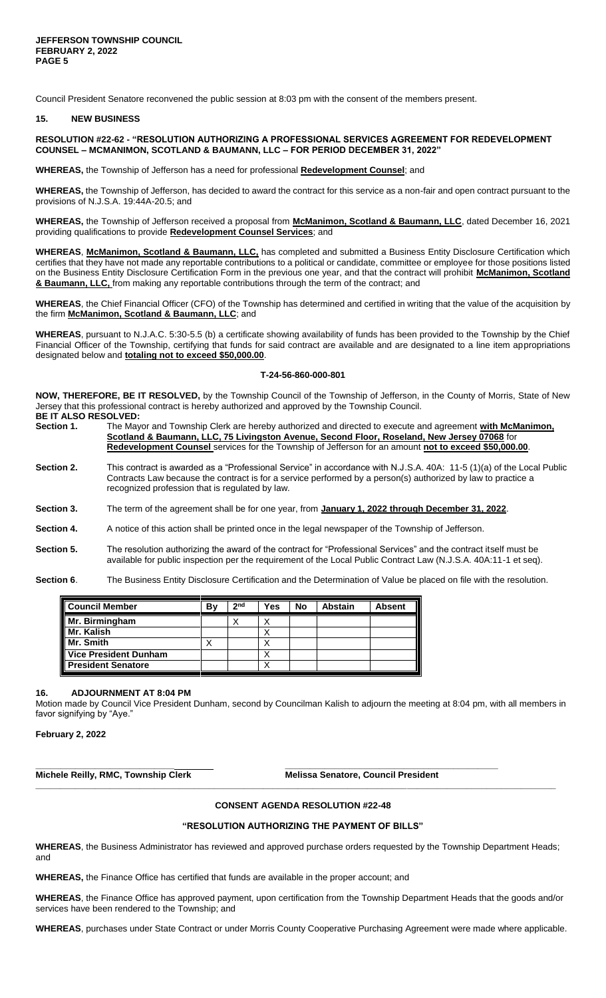Council President Senatore reconvened the public session at 8:03 pm with the consent of the members present.

#### **15. NEW BUSINESS**

# **RESOLUTION #22-62 - "RESOLUTION AUTHORIZING A PROFESSIONAL SERVICES AGREEMENT FOR REDEVELOPMENT COUNSEL – MCMANIMON, SCOTLAND & BAUMANN, LLC – FOR PERIOD DECEMBER 31, 2022"**

**WHEREAS,** the Township of Jefferson has a need for professional **Redevelopment Counsel**; and

**WHEREAS,** the Township of Jefferson, has decided to award the contract for this service as a non-fair and open contract pursuant to the provisions of N.J.S.A. 19:44A-20.5; and

**WHEREAS,** the Township of Jefferson received a proposal from **McManimon, Scotland & Baumann, LLC**, dated December 16, 2021 providing qualifications to provide **Redevelopment Counsel Services**; and

**WHEREAS**, **McManimon, Scotland & Baumann, LLC,** has completed and submitted a Business Entity Disclosure Certification which certifies that they have not made any reportable contributions to a political or candidate, committee or employee for those positions listed on the Business Entity Disclosure Certification Form in the previous one year, and that the contract will prohibit **McManimon, Scotland & Baumann, LLC,** from making any reportable contributions through the term of the contract; and

**WHEREAS**, the Chief Financial Officer (CFO) of the Township has determined and certified in writing that the value of the acquisition by the firm **McManimon, Scotland & Baumann, LLC**; and

**WHEREAS**, pursuant to N.J.A.C. 5:30-5.5 (b) a certificate showing availability of funds has been provided to the Township by the Chief Financial Officer of the Township, certifying that funds for said contract are available and are designated to a line item appropriations designated below and **totaling not to exceed \$50,000.00**.

#### **T-24-56-860-000-801**

**NOW, THEREFORE, BE IT RESOLVED,** by the Township Council of the Township of Jefferson, in the County of Morris, State of New Jersey that this professional contract is hereby authorized and approved by the Township Council. **BE IT ALSO RESOLVED:** 

| Section 1. | The Mayor and Township Clerk are hereby authorized and directed to execute and agreement with McManimon, |
|------------|----------------------------------------------------------------------------------------------------------|
|            | Scotland & Baumann, LLC, 75 Livingston Avenue, Second Floor, Roseland, New Jersey 07068 for              |
|            | Redevelopment Counsel services for the Township of Jefferson for an amount not to exceed \$50,000.00.    |

- **Section 2.** This contract is awarded as a "Professional Service" in accordance with N.J.S.A. 40A: 11-5 (1)(a) of the Local Public Contracts Law because the contract is for a service performed by a person(s) authorized by law to practice a recognized profession that is regulated by law.
- **Section 3.** The term of the agreement shall be for one year, from **January 1, 2022 through December 31, 2022**.
- **Section 4.** A notice of this action shall be printed once in the legal newspaper of the Township of Jefferson.
- **Section 5.** The resolution authorizing the award of the contract for "Professional Services" and the contract itself must be available for public inspection per the requirement of the Local Public Contract Law (N.J.S.A. 40A:11-1 et seq).
- **Section 6**. The Business Entity Disclosure Certification and the Determination of Value be placed on file with the resolution.

| <b>Council Member</b>        | B٧ | 2 <sub>nd</sub> | Yes    | <b>No</b> | <b>Abstain</b> | <b>Absent</b> |
|------------------------------|----|-----------------|--------|-----------|----------------|---------------|
| Mr. Birmingham               |    | ́               | ν<br>́ |           |                |               |
| Mr. Kalish                   |    |                 | ́      |           |                |               |
| Mr. Smith                    |    |                 |        |           |                |               |
| <b>Vice President Dunham</b> |    |                 |        |           |                |               |
| <b>President Senatore</b>    |    |                 |        |           |                |               |

#### **16. ADJOURNMENT AT 8:04 PM**

Motion made by Council Vice President Dunham, second by Councilman Kalish to adjourn the meeting at 8:04 pm, with all members in favor signifying by "Aye."

**February 2, 2022**

**\_\_\_\_\_\_\_\_\_\_\_\_\_\_\_\_\_\_\_\_\_\_\_\_\_\_\_\_ \_\_\_\_\_\_\_\_\_\_\_\_\_\_\_\_\_\_\_\_\_\_\_\_\_\_\_\_\_\_\_\_\_\_\_\_\_\_\_\_\_\_\_ Michele Reilly, RMC, Township Clerk Melissa Senatore, Council President**

#### **CONSENT AGENDA RESOLUTION #22-48**

**\_\_\_\_\_\_\_\_\_\_\_\_\_\_\_\_\_\_\_\_\_\_\_\_\_\_\_\_\_\_\_\_\_\_\_\_\_\_\_\_\_\_\_\_\_\_\_\_\_\_\_\_\_\_\_\_\_\_\_\_\_\_\_\_\_\_\_\_\_\_\_\_\_\_\_\_\_\_\_\_\_\_\_\_\_\_\_\_\_\_\_\_\_\_\_\_\_\_\_\_\_\_\_\_\_**

#### **"RESOLUTION AUTHORIZING THE PAYMENT OF BILLS"**

**WHEREAS**, the Business Administrator has reviewed and approved purchase orders requested by the Township Department Heads; and

**WHEREAS,** the Finance Office has certified that funds are available in the proper account; and

**WHEREAS**, the Finance Office has approved payment, upon certification from the Township Department Heads that the goods and/or services have been rendered to the Township; and

**WHEREAS**, purchases under State Contract or under Morris County Cooperative Purchasing Agreement were made where applicable.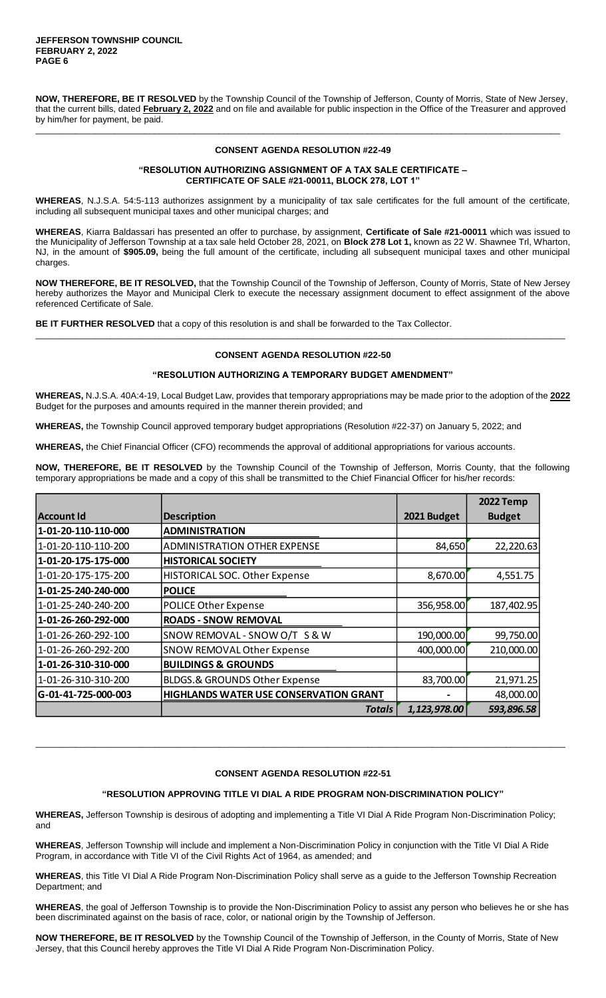**NOW, THEREFORE, BE IT RESOLVED** by the Township Council of the Township of Jefferson, County of Morris, State of New Jersey, that the current bills, dated **February 2, 2022** and on file and available for public inspection in the Office of the Treasurer and approved by him/her for payment, be paid.

\_\_\_\_\_\_\_\_\_\_\_\_\_\_\_\_\_\_\_\_\_\_\_\_\_\_\_\_\_\_\_\_\_\_\_\_\_\_\_\_\_\_\_\_\_\_\_\_\_\_\_\_\_\_\_\_\_\_\_\_\_\_\_\_\_\_\_\_\_\_\_\_\_\_\_\_\_\_\_\_\_\_\_\_\_\_\_\_\_\_\_\_\_\_\_\_\_\_\_\_\_\_\_\_\_\_

# **CONSENT AGENDA RESOLUTION #22-49**

## **"RESOLUTION AUTHORIZING ASSIGNMENT OF A TAX SALE CERTIFICATE – CERTIFICATE OF SALE #21-00011, BLOCK 278, LOT 1"**

**WHEREAS**, N.J.S.A. 54:5-113 authorizes assignment by a municipality of tax sale certificates for the full amount of the certificate, including all subsequent municipal taxes and other municipal charges; and

**WHEREAS**, Kiarra Baldassari has presented an offer to purchase, by assignment, **Certificate of Sale #21-00011** which was issued to the Municipality of Jefferson Township at a tax sale held October 28, 2021, on **Block 278 Lot 1,** known as 22 W. Shawnee Trl, Wharton, NJ, in the amount of **\$905.09,** being the full amount of the certificate, including all subsequent municipal taxes and other municipal charges.

**NOW THEREFORE, BE IT RESOLVED,** that the Township Council of the Township of Jefferson, County of Morris, State of New Jersey hereby authorizes the Mayor and Municipal Clerk to execute the necessary assignment document to effect assignment of the above referenced Certificate of Sale.

**BE IT FURTHER RESOLVED** that a copy of this resolution is and shall be forwarded to the Tax Collector.

# **CONSENT AGENDA RESOLUTION #22-50**

\_\_\_\_\_\_\_\_\_\_\_\_\_\_\_\_\_\_\_\_\_\_\_\_\_\_\_\_\_\_\_\_\_\_\_\_\_\_\_\_\_\_\_\_\_\_\_\_\_\_\_\_\_\_\_\_\_\_\_\_\_\_\_\_\_\_\_\_\_\_\_\_\_\_\_\_\_\_\_\_\_\_\_\_\_\_\_\_\_\_\_\_\_\_\_\_\_\_\_\_\_\_\_\_\_\_\_

# **"RESOLUTION AUTHORIZING A TEMPORARY BUDGET AMENDMENT"**

**WHEREAS,** N.J.S.A. 40A:4-19, Local Budget Law, provides that temporary appropriations may be made prior to the adoption of the **2022**  Budget for the purposes and amounts required in the manner therein provided; and

**WHEREAS,** the Township Council approved temporary budget appropriations (Resolution #22-37) on January 5, 2022; and

**WHEREAS,** the Chief Financial Officer (CFO) recommends the approval of additional appropriations for various accounts.

**NOW, THEREFORE, BE IT RESOLVED** by the Township Council of the Township of Jefferson, Morris County, that the following temporary appropriations be made and a copy of this shall be transmitted to the Chief Financial Officer for his/her records:

|                     |                                               |              | 2022 Temp     |
|---------------------|-----------------------------------------------|--------------|---------------|
| Account Id          | <b>Description</b>                            | 2021 Budget  | <b>Budget</b> |
| 1-01-20-110-110-000 | <b>ADMINISTRATION</b>                         |              |               |
| 1-01-20-110-110-200 | <b>ADMINISTRATION OTHER EXPENSE</b>           | 84,650       | 22,220.63     |
| 1-01-20-175-175-000 | <b>HISTORICAL SOCIETY</b>                     |              |               |
| 1-01-20-175-175-200 | <b>HISTORICAL SOC. Other Expense</b>          | 8,670.00     | 4,551.75      |
| 1-01-25-240-240-000 | <b>POLICE</b>                                 |              |               |
| 1-01-25-240-240-200 | POLICE Other Expense                          | 356,958.00   | 187,402.95    |
| 1-01-26-260-292-000 | <b>ROADS - SNOW REMOVAL</b>                   |              |               |
| 1-01-26-260-292-100 | SNOW REMOVAL - SNOW O/T S & W                 | 190,000.00   | 99,750.00     |
| 1-01-26-260-292-200 | <b>SNOW REMOVAL Other Expense</b>             | 400,000.00   | 210,000.00    |
| 1-01-26-310-310-000 | <b>BUILDINGS &amp; GROUNDS</b>                |              |               |
| 1-01-26-310-310-200 | BLDGS.& GROUNDS Other Expense                 | 83,700.00    | 21,971.25     |
| G-01-41-725-000-003 | <b>HIGHLANDS WATER USE CONSERVATION GRANT</b> |              | 48,000.00     |
|                     | <b>Totals</b>                                 | 1,123,978.00 | 593,896.58    |

#### **CONSENT AGENDA RESOLUTION #22-51**

\_\_\_\_\_\_\_\_\_\_\_\_\_\_\_\_\_\_\_\_\_\_\_\_\_\_\_\_\_\_\_\_\_\_\_\_\_\_\_\_\_\_\_\_\_\_\_\_\_\_\_\_\_\_\_\_\_\_\_\_\_\_\_\_\_\_\_\_\_\_\_\_\_\_\_\_\_\_\_\_\_\_\_\_\_\_\_\_\_\_\_\_\_\_\_\_\_\_\_\_\_\_\_\_\_\_\_

# **"RESOLUTION APPROVING TITLE VI DIAL A RIDE PROGRAM NON-DISCRIMINATION POLICY"**

**WHEREAS,** Jefferson Township is desirous of adopting and implementing a Title VI Dial A Ride Program Non-Discrimination Policy; and

**WHEREAS**, Jefferson Township will include and implement a Non-Discrimination Policy in conjunction with the Title VI Dial A Ride Program, in accordance with Title VI of the Civil Rights Act of 1964, as amended; and

**WHEREAS**, this Title VI Dial A Ride Program Non-Discrimination Policy shall serve as a guide to the Jefferson Township Recreation Department; and

**WHEREAS**, the goal of Jefferson Township is to provide the Non-Discrimination Policy to assist any person who believes he or she has been discriminated against on the basis of race, color, or national origin by the Township of Jefferson.

**NOW THEREFORE, BE IT RESOLVED** by the Township Council of the Township of Jefferson, in the County of Morris, State of New Jersey, that this Council hereby approves the Title VI Dial A Ride Program Non-Discrimination Policy.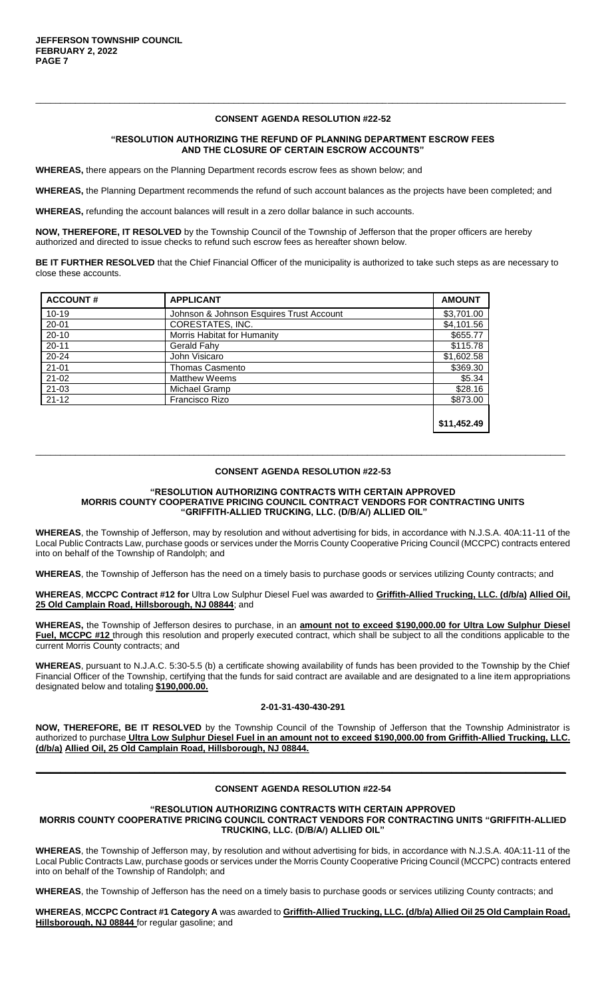## **CONSENT AGENDA RESOLUTION #22-52**

\_\_\_\_\_\_\_\_\_\_\_\_\_\_\_\_\_\_\_\_\_\_\_\_\_\_\_\_\_\_\_\_\_\_\_\_\_\_\_\_\_\_\_\_\_\_\_\_\_\_\_\_\_\_\_\_\_\_\_\_\_\_\_\_\_\_\_\_\_\_\_\_\_\_\_\_\_\_\_\_\_\_\_\_\_\_\_\_\_\_\_\_\_\_\_\_\_\_\_\_\_\_\_\_\_\_\_

### **"RESOLUTION AUTHORIZING THE REFUND OF PLANNING DEPARTMENT ESCROW FEES AND THE CLOSURE OF CERTAIN ESCROW ACCOUNTS"**

**WHEREAS,** there appears on the Planning Department records escrow fees as shown below; and

**WHEREAS,** the Planning Department recommends the refund of such account balances as the projects have been completed; and

**WHEREAS,** refunding the account balances will result in a zero dollar balance in such accounts.

**NOW, THEREFORE, IT RESOLVED** by the Township Council of the Township of Jefferson that the proper officers are hereby authorized and directed to issue checks to refund such escrow fees as hereafter shown below.

**BE IT FURTHER RESOLVED** that the Chief Financial Officer of the municipality is authorized to take such steps as are necessary to close these accounts.

| <b>ACCOUNT#</b> | <b>APPLICANT</b>                         | <b>AMOUNT</b> |
|-----------------|------------------------------------------|---------------|
| $10 - 19$       | Johnson & Johnson Esquires Trust Account | \$3,701.00    |
| $20 - 01$       | CORESTATES, INC.                         | \$4,101.56    |
| $20 - 10$       | Morris Habitat for Humanity              | \$655.77      |
| $20 - 11$       | Gerald Fahy                              | \$115.78      |
| $20 - 24$       | John Visicaro                            | \$1,602.58    |
| $21 - 01$       | Thomas Casmento                          | \$369.30      |
| $21 - 02$       | <b>Matthew Weems</b>                     | \$5.34        |
| $21 - 03$       | Michael Gramp                            | \$28.16       |
| $21 - 12$       | Francisco Rizo                           | \$873.00      |
|                 |                                          |               |
|                 |                                          | \$11,452.49   |

# \_\_\_\_\_\_\_\_\_\_\_\_\_\_\_\_\_\_\_\_\_\_\_\_\_\_\_\_\_\_\_\_\_\_\_\_\_\_\_\_\_\_\_\_\_\_\_\_\_\_\_\_\_\_\_\_\_\_\_\_\_\_\_\_\_\_\_\_\_\_\_\_\_\_\_\_\_\_\_\_\_\_\_\_\_\_\_\_\_\_\_\_\_\_\_\_\_\_\_\_\_\_\_\_\_\_\_ **CONSENT AGENDA RESOLUTION #22-53**

#### **"RESOLUTION AUTHORIZING CONTRACTS WITH CERTAIN APPROVED MORRIS COUNTY COOPERATIVE PRICING COUNCIL CONTRACT VENDORS FOR CONTRACTING UNITS "GRIFFITH-ALLIED TRUCKING, LLC. (D/B/A/) ALLIED OIL"**

**WHEREAS**, the Township of Jefferson, may by resolution and without advertising for bids, in accordance with N.J.S.A. 40A:11-11 of the Local Public Contracts Law, purchase goods or services under the Morris County Cooperative Pricing Council (MCCPC) contracts entered into on behalf of the Township of Randolph; and

**WHEREAS**, the Township of Jefferson has the need on a timely basis to purchase goods or services utilizing County contracts; and

**WHEREAS**, **MCCPC Contract #12 for** Ultra Low Sulphur Diesel Fuel was awarded to **Griffith-Allied Trucking, LLC. (d/b/a) Allied Oil, 25 Old Camplain Road, Hillsborough, NJ 08844**; and

**WHEREAS,** the Township of Jefferson desires to purchase, in an **amount not to exceed \$190,000.00 for Ultra Low Sulphur Diesel Fuel, MCCPC #12** through this resolution and properly executed contract, which shall be subject to all the conditions applicable to the current Morris County contracts; and

**WHEREAS**, pursuant to N.J.A.C. 5:30-5.5 (b) a certificate showing availability of funds has been provided to the Township by the Chief Financial Officer of the Township, certifying that the funds for said contract are available and are designated to a line item appropriations designated below and totaling **\$190,000.00.**

#### **2-01-31-430-430-291**

**NOW, THEREFORE, BE IT RESOLVED** by the Township Council of the Township of Jefferson that the Township Administrator is authorized to purchase **Ultra Low Sulphur Diesel Fuel in an amount not to exceed \$190,000.00 from Griffith-Allied Trucking, LLC. (d/b/a) Allied Oil, 25 Old Camplain Road, Hillsborough, NJ 08844.**

# **CONSENT AGENDA RESOLUTION #22-54**

**\_\_\_\_\_\_\_\_\_\_\_\_\_\_\_\_\_\_\_\_\_\_\_\_\_\_\_\_\_\_\_\_\_\_\_\_\_\_\_\_\_\_\_\_\_\_\_\_\_\_\_\_\_\_\_\_\_\_\_\_\_\_\_\_\_\_\_\_\_\_\_\_\_\_\_\_\_\_\_\_\_\_\_\_\_\_\_\_\_\_\_\_\_\_\_\_\_\_\_\_\_\_\_\_\_\_\_**

#### **"RESOLUTION AUTHORIZING CONTRACTS WITH CERTAIN APPROVED MORRIS COUNTY COOPERATIVE PRICING COUNCIL CONTRACT VENDORS FOR CONTRACTING UNITS "GRIFFITH-ALLIED**

**TRUCKING, LLC. (D/B/A/) ALLIED OIL"**

**WHEREAS**, the Township of Jefferson may, by resolution and without advertising for bids, in accordance with N.J.S.A. 40A:11-11 of the Local Public Contracts Law, purchase goods or services under the Morris County Cooperative Pricing Council (MCCPC) contracts entered into on behalf of the Township of Randolph; and

**WHEREAS**, the Township of Jefferson has the need on a timely basis to purchase goods or services utilizing County contracts; and

**WHEREAS**, **MCCPC Contract #1 Category A** was awarded to **Griffith-Allied Trucking, LLC. (d/b/a) Allied Oil 25 Old Camplain Road, Hillsborough, NJ 08844** for regular gasoline; and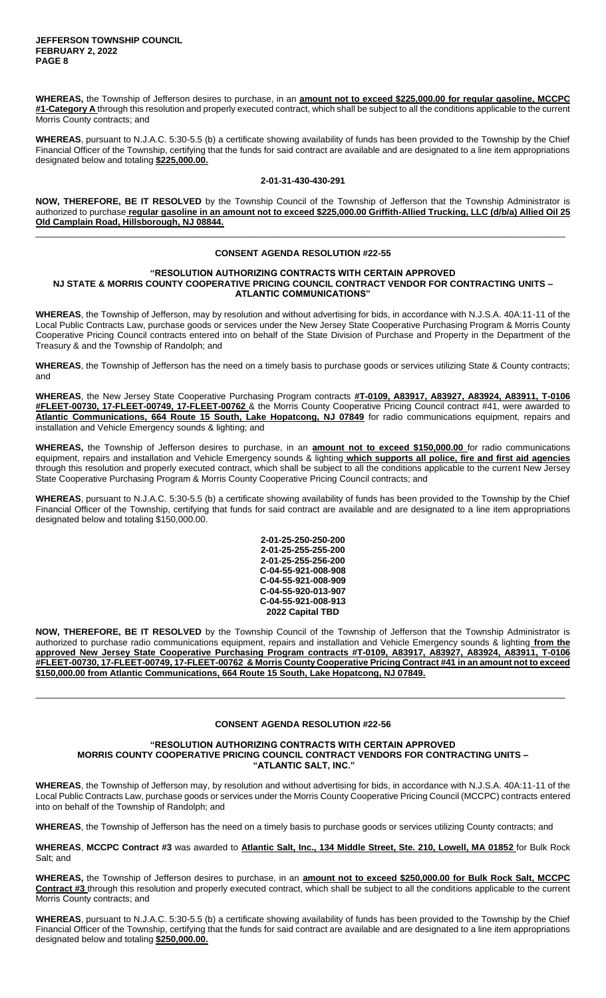**WHEREAS,** the Township of Jefferson desires to purchase, in an **amount not to exceed \$225,000.00 for regular gasoline, MCCPC #1-Category A** through this resolution and properly executed contract, which shall be subject to all the conditions applicable to the current Morris County contracts; and

**WHEREAS**, pursuant to N.J.A.C. 5:30-5.5 (b) a certificate showing availability of funds has been provided to the Township by the Chief Financial Officer of the Township, certifying that the funds for said contract are available and are designated to a line item appropriations designated below and totaling **\$225,000.00.**

# **2-01-31-430-430-291**

**NOW, THEREFORE, BE IT RESOLVED** by the Township Council of the Township of Jefferson that the Township Administrator is authorized to purchase **regular gasoline in an amount not to exceed \$225,000.00 Griffith-Allied Trucking, LLC (d/b/a) Allied Oil 25 Old Camplain Road, Hillsborough, NJ 08844.** \_\_\_\_\_\_\_\_\_\_\_\_\_\_\_\_\_\_\_\_\_\_\_\_\_\_\_\_\_\_\_\_\_\_\_\_\_\_\_\_\_\_\_\_\_\_\_\_\_\_\_\_\_\_\_\_\_\_\_\_\_\_\_\_\_\_\_\_\_\_\_\_\_\_\_\_\_\_\_\_\_\_\_\_\_\_\_\_\_\_\_\_\_\_\_\_\_\_\_\_\_\_\_\_\_\_\_

# **CONSENT AGENDA RESOLUTION #22-55**

#### **"RESOLUTION AUTHORIZING CONTRACTS WITH CERTAIN APPROVED NJ STATE & MORRIS COUNTY COOPERATIVE PRICING COUNCIL CONTRACT VENDOR FOR CONTRACTING UNITS – ATLANTIC COMMUNICATIONS"**

**WHEREAS**, the Township of Jefferson, may by resolution and without advertising for bids, in accordance with N.J.S.A. 40A:11-11 of the Local Public Contracts Law, purchase goods or services under the New Jersey State Cooperative Purchasing Program & Morris County Cooperative Pricing Council contracts entered into on behalf of the State Division of Purchase and Property in the Department of the Treasury & and the Township of Randolph; and

**WHEREAS**, the Township of Jefferson has the need on a timely basis to purchase goods or services utilizing State & County contracts; and

**WHEREAS**, the New Jersey State Cooperative Purchasing Program contracts **#T-0109, A83917, A83927, A83924, A83911, T-0106 #FLEET-00730, 17-FLEET-00749, 17-FLEET-00762** & the Morris County Cooperative Pricing Council contract #41, were awarded to **Atlantic Communications, 664 Route 15 South, Lake Hopatcong, NJ 07849** for radio communications equipment, repairs and installation and Vehicle Emergency sounds & lighting; and

**WHEREAS,** the Township of Jefferson desires to purchase, in an **amount not to exceed \$150,000.00** for radio communications equipment, repairs and installation and Vehicle Emergency sounds & lighting **which supports all police, fire and first aid agencies**  through this resolution and properly executed contract, which shall be subject to all the conditions applicable to the current New Jersey State Cooperative Purchasing Program & Morris County Cooperative Pricing Council contracts; and

**WHEREAS**, pursuant to N.J.A.C. 5:30-5.5 (b) a certificate showing availability of funds has been provided to the Township by the Chief Financial Officer of the Township, certifying that funds for said contract are available and are designated to a line item appropriations designated below and totaling \$150,000.00.

| 2-01-25-250-250-200 |
|---------------------|
| 2-01-25-255-255-200 |
| 2-01-25-255-256-200 |
| C-04-55-921-008-908 |
| C-04-55-921-008-909 |
| C-04-55-920-013-907 |
| C-04-55-921-008-913 |
| 2022 Capital TBD    |

**NOW, THEREFORE, BE IT RESOLVED** by the Township Council of the Township of Jefferson that the Township Administrator is authorized to purchase radio communications equipment, repairs and installation and Vehicle Emergency sounds & lighting **from the approved New Jersey State Cooperative Purchasing Program contracts #T-0109, A83917, A83927, A83924, A83911, T-0106 #FLEET-00730, 17-FLEET-00749, 17-FLEET-00762 & Morris County Cooperative Pricing Contract #41 in an amount not to exceed \$150,000.00 from Atlantic Communications, 664 Route 15 South, Lake Hopatcong, NJ 07849.**

# **CONSENT AGENDA RESOLUTION #22-56**

\_\_\_\_\_\_\_\_\_\_\_\_\_\_\_\_\_\_\_\_\_\_\_\_\_\_\_\_\_\_\_\_\_\_\_\_\_\_\_\_\_\_\_\_\_\_\_\_\_\_\_\_\_\_\_\_\_\_\_\_\_\_\_\_\_\_\_\_\_\_\_\_\_\_\_\_\_\_\_\_\_\_\_\_\_\_\_\_\_\_\_\_\_\_\_\_\_\_\_\_\_\_\_\_\_\_\_

### **"RESOLUTION AUTHORIZING CONTRACTS WITH CERTAIN APPROVED MORRIS COUNTY COOPERATIVE PRICING COUNCIL CONTRACT VENDORS FOR CONTRACTING UNITS – "ATLANTIC SALT, INC."**

**WHEREAS**, the Township of Jefferson may, by resolution and without advertising for bids, in accordance with N.J.S.A. 40A:11-11 of the Local Public Contracts Law, purchase goods or services under the Morris County Cooperative Pricing Council (MCCPC) contracts entered into on behalf of the Township of Randolph; and

**WHEREAS**, the Township of Jefferson has the need on a timely basis to purchase goods or services utilizing County contracts; and

**WHEREAS**, **MCCPC Contract #3** was awarded to **Atlantic Salt, Inc., 134 Middle Street, Ste. 210, Lowell, MA 01852** for Bulk Rock Salt; and

**WHEREAS,** the Township of Jefferson desires to purchase, in an **amount not to exceed \$250,000.00 for Bulk Rock Salt, MCCPC Contract #3** through this resolution and properly executed contract, which shall be subject to all the conditions applicable to the current Morris County contracts; and

**WHEREAS**, pursuant to N.J.A.C. 5:30-5.5 (b) a certificate showing availability of funds has been provided to the Township by the Chief Financial Officer of the Township, certifying that the funds for said contract are available and are designated to a line item appropriations designated below and totaling **\$250,000.00.**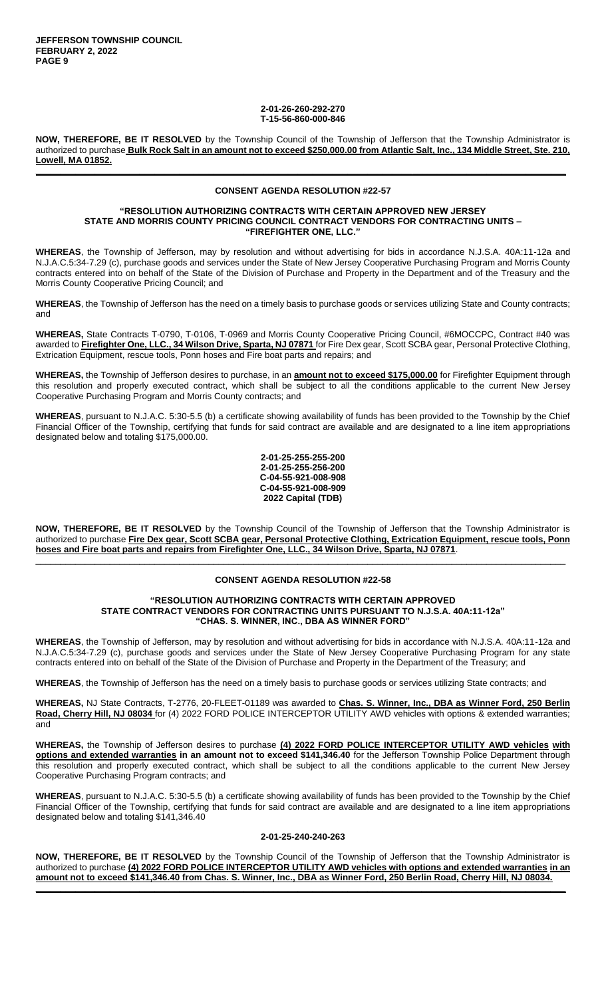#### **2-01-26-260-292-270 T-15-56-860-000-846**

**NOW, THEREFORE, BE IT RESOLVED** by the Township Council of the Township of Jefferson that the Township Administrator is authorized to purchase **Bulk Rock Salt in an amount not to exceed \$250,000.00 from Atlantic Salt, Inc., 134 Middle Street, Ste. 210, Lowell, MA 01852. \_\_\_\_\_\_\_\_\_\_\_\_\_\_\_\_\_\_\_\_\_\_\_\_\_\_\_\_\_\_\_\_\_\_\_\_\_\_\_\_\_\_\_\_\_\_\_\_\_\_\_\_\_\_\_\_\_\_\_\_\_\_\_\_\_\_\_\_\_\_\_\_\_\_\_\_\_\_\_\_\_\_\_\_\_\_\_\_\_\_\_\_\_\_\_\_\_\_\_\_\_\_\_\_\_\_\_**

# **CONSENT AGENDA RESOLUTION #22-57**

#### **"RESOLUTION AUTHORIZING CONTRACTS WITH CERTAIN APPROVED NEW JERSEY STATE AND MORRIS COUNTY PRICING COUNCIL CONTRACT VENDORS FOR CONTRACTING UNITS – "FIREFIGHTER ONE, LLC."**

**WHEREAS**, the Township of Jefferson, may by resolution and without advertising for bids in accordance N.J.S.A. 40A:11-12a and N.J.A.C.5:34-7.29 (c), purchase goods and services under the State of New Jersey Cooperative Purchasing Program and Morris County contracts entered into on behalf of the State of the Division of Purchase and Property in the Department and of the Treasury and the Morris County Cooperative Pricing Council; and

**WHEREAS**, the Township of Jefferson has the need on a timely basis to purchase goods or services utilizing State and County contracts; and

**WHEREAS,** State Contracts T-0790, T-0106, T-0969 and Morris County Cooperative Pricing Council, #6MOCCPC, Contract #40 was awarded to **Firefighter One, LLC., 34 Wilson Drive, Sparta, NJ 07871** for Fire Dex gear, Scott SCBA gear, Personal Protective Clothing, Extrication Equipment, rescue tools, Ponn hoses and Fire boat parts and repairs; and

**WHEREAS,** the Township of Jefferson desires to purchase, in an **amount not to exceed \$175,000.00** for Firefighter Equipment through this resolution and properly executed contract, which shall be subject to all the conditions applicable to the current New Jersey Cooperative Purchasing Program and Morris County contracts; and

**WHEREAS**, pursuant to N.J.A.C. 5:30-5.5 (b) a certificate showing availability of funds has been provided to the Township by the Chief Financial Officer of the Township, certifying that funds for said contract are available and are designated to a line item appropriations designated below and totaling \$175,000.00.

> **2-01-25-255-255-200 2-01-25-255-256-200 C-04-55-921-008-908 C-04-55-921-008-909 2022 Capital (TDB)**

**NOW, THEREFORE, BE IT RESOLVED** by the Township Council of the Township of Jefferson that the Township Administrator is authorized to purchase **Fire Dex gear, Scott SCBA gear, Personal Protective Clothing, Extrication Equipment, rescue tools, Ponn hoses and Fire boat parts and repairs from Firefighter One, LLC., 34 Wilson Drive, Sparta, NJ 07871**.

# \_\_\_\_\_\_\_\_\_\_\_\_\_\_\_\_\_\_\_\_\_\_\_\_\_\_\_\_\_\_\_\_\_\_\_\_\_\_\_\_\_\_\_\_\_\_\_\_\_\_\_\_\_\_\_\_\_\_\_\_\_\_\_\_\_\_\_\_\_\_\_\_\_\_\_\_\_\_\_\_\_\_\_\_\_\_\_\_\_\_\_\_\_\_\_\_\_\_\_\_\_\_\_\_\_\_\_ **CONSENT AGENDA RESOLUTION #22-58**

## **"RESOLUTION AUTHORIZING CONTRACTS WITH CERTAIN APPROVED STATE CONTRACT VENDORS FOR CONTRACTING UNITS PURSUANT TO N.J.S.A. 40A:11-12a" "CHAS. S. WINNER, INC., DBA AS WINNER FORD"**

**WHEREAS**, the Township of Jefferson, may by resolution and without advertising for bids in accordance with N.J.S.A. 40A:11-12a and N.J.A.C.5:34-7.29 (c), purchase goods and services under the State of New Jersey Cooperative Purchasing Program for any state contracts entered into on behalf of the State of the Division of Purchase and Property in the Department of the Treasury; and

**WHEREAS**, the Township of Jefferson has the need on a timely basis to purchase goods or services utilizing State contracts; and

**WHEREAS,** NJ State Contracts, T-2776, 20-FLEET-01189 was awarded to **Chas. S. Winner, Inc., DBA as Winner Ford, 250 Berlin Road, Cherry Hill, NJ 08034** for (4) 2022 FORD POLICE INTERCEPTOR UTILITY AWD vehicles with options & extended warranties; and

**WHEREAS,** the Township of Jefferson desires to purchase **(4) 2022 FORD POLICE INTERCEPTOR UTILITY AWD vehicles with options and extended warranties in an amount not to exceed \$141,346.40** for the Jefferson Township Police Department through this resolution and properly executed contract, which shall be subject to all the conditions applicable to the current New Jersey Cooperative Purchasing Program contracts; and

**WHEREAS**, pursuant to N.J.A.C. 5:30-5.5 (b) a certificate showing availability of funds has been provided to the Township by the Chief Financial Officer of the Township, certifying that funds for said contract are available and are designated to a line item appropriations designated below and totaling \$141,346.40

#### **2-01-25-240-240-263**

**NOW, THEREFORE, BE IT RESOLVED** by the Township Council of the Township of Jefferson that the Township Administrator is authorized to purchase **(4) 2022 FORD POLICE INTERCEPTOR UTILITY AWD vehicles with options and extended warranties in an amount not to exceed \$141,346.40 from Chas. S. Winner, Inc., DBA as Winner Ford, 250 Berlin Road, Cherry Hill, NJ 08034. \_\_\_\_\_\_\_\_\_\_\_\_\_\_\_\_\_\_\_\_\_\_\_\_\_\_\_\_\_\_\_\_\_\_\_\_\_\_\_\_\_\_\_\_\_\_\_\_\_\_\_\_\_\_\_\_\_\_\_\_\_\_\_\_\_\_\_\_\_\_\_\_\_\_\_\_\_\_\_\_\_\_\_\_\_\_\_\_\_\_\_\_\_\_\_\_\_\_\_\_\_\_\_\_\_\_\_**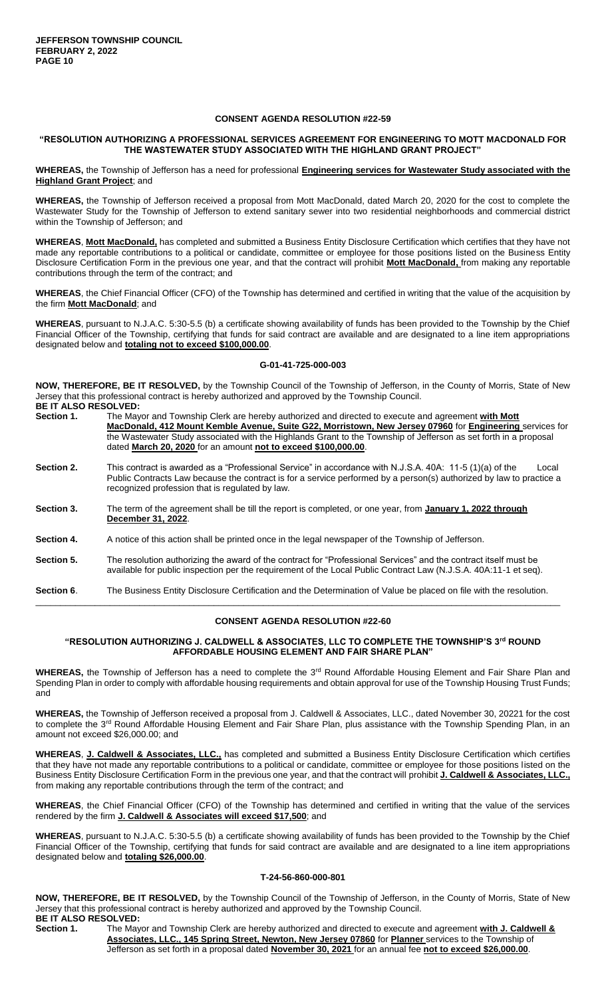## **CONSENT AGENDA RESOLUTION #22-59**

# **"RESOLUTION AUTHORIZING A PROFESSIONAL SERVICES AGREEMENT FOR ENGINEERING TO MOTT MACDONALD FOR THE WASTEWATER STUDY ASSOCIATED WITH THE HIGHLAND GRANT PROJECT"**

**WHEREAS,** the Township of Jefferson has a need for professional **Engineering services for Wastewater Study associated with the Highland Grant Project**; and

**WHEREAS,** the Township of Jefferson received a proposal from Mott MacDonald, dated March 20, 2020 for the cost to complete the Wastewater Study for the Township of Jefferson to extend sanitary sewer into two residential neighborhoods and commercial district within the Township of Jefferson; and

**WHEREAS**, **Mott MacDonald,** has completed and submitted a Business Entity Disclosure Certification which certifies that they have not made any reportable contributions to a political or candidate, committee or employee for those positions listed on the Business Entity Disclosure Certification Form in the previous one year, and that the contract will prohibit **Mott MacDonald,** from making any reportable contributions through the term of the contract; and

**WHEREAS**, the Chief Financial Officer (CFO) of the Township has determined and certified in writing that the value of the acquisition by the firm **Mott MacDonald**; and

**WHEREAS**, pursuant to N.J.A.C. 5:30-5.5 (b) a certificate showing availability of funds has been provided to the Township by the Chief Financial Officer of the Township, certifying that funds for said contract are available and are designated to a line item appropriations designated below and **totaling not to exceed \$100,000.00**.

#### **G-01-41-725-000-003**

**NOW, THEREFORE, BE IT RESOLVED,** by the Township Council of the Township of Jefferson, in the County of Morris, State of New Jersey that this professional contract is hereby authorized and approved by the Township Council. **BE IT ALSO RESOLVED:** 

| Section 1. | The Mayor and Township Clerk are hereby authorized and directed to execute and agreement with Mott<br>MacDonald, 412 Mount Kemble Avenue, Suite G22, Morristown, New Jersey 07960 for Engineering services for |
|------------|----------------------------------------------------------------------------------------------------------------------------------------------------------------------------------------------------------------|
|            | the Wastewater Study associated with the Highlands Grant to the Township of Jefferson as set forth in a proposal<br>dated March 20. 2020 for an amount not to exceed \$100,000,00.                             |

- **Section 2.** This contract is awarded as a "Professional Service" in accordance with N.J.S.A. 40A: 11-5 (1)(a) of the Local Public Contracts Law because the contract is for a service performed by a person(s) authorized by law to practice a recognized profession that is regulated by law.
- **Section 3.** The term of the agreement shall be till the report is completed, or one year, from **January 1, 2022 through December 31, 2022**.
- **Section 4.** A notice of this action shall be printed once in the legal newspaper of the Township of Jefferson.
- **Section 5.** The resolution authorizing the award of the contract for "Professional Services" and the contract itself must be available for public inspection per the requirement of the Local Public Contract Law (N.J.S.A. 40A:11-1 et seq).

**Section 6**. The Business Entity Disclosure Certification and the Determination of Value be placed on file with the resolution. \_\_\_\_\_\_\_\_\_\_\_\_\_\_\_\_\_\_\_\_\_\_\_\_\_\_\_\_\_\_\_\_\_\_\_\_\_\_\_\_\_\_\_\_\_\_\_\_\_\_\_\_\_\_\_\_\_\_\_\_\_\_\_\_\_\_\_\_\_\_\_\_\_\_\_\_\_\_\_\_\_\_\_\_\_\_\_\_\_\_\_\_\_\_\_\_\_\_\_\_\_\_\_\_\_\_

# **CONSENT AGENDA RESOLUTION #22-60**

#### **"RESOLUTION AUTHORIZING J. CALDWELL & ASSOCIATES, LLC TO COMPLETE THE TOWNSHIP'S 3rd ROUND AFFORDABLE HOUSING ELEMENT AND FAIR SHARE PLAN"**

WHEREAS, the Township of Jefferson has a need to complete the 3<sup>rd</sup> Round Affordable Housing Element and Fair Share Plan and Spending Plan in order to comply with affordable housing requirements and obtain approval for use of the Township Housing Trust Funds; and

**WHEREAS,** the Township of Jefferson received a proposal from J. Caldwell & Associates, LLC., dated November 30, 20221 for the cost to complete the 3<sup>rd</sup> Round Affordable Housing Element and Fair Share Plan, plus assistance with the Township Spending Plan, in an amount not exceed \$26,000.00; and

**WHEREAS**, **J. Caldwell & Associates, LLC.,** has completed and submitted a Business Entity Disclosure Certification which certifies that they have not made any reportable contributions to a political or candidate, committee or employee for those positions listed on the Business Entity Disclosure Certification Form in the previous one year, and that the contract will prohibit **J. Caldwell & Associates, LLC.,**  from making any reportable contributions through the term of the contract; and

**WHEREAS**, the Chief Financial Officer (CFO) of the Township has determined and certified in writing that the value of the services rendered by the firm **J. Caldwell & Associates will exceed \$17,500**; and

**WHEREAS**, pursuant to N.J.A.C. 5:30-5.5 (b) a certificate showing availability of funds has been provided to the Township by the Chief Financial Officer of the Township, certifying that funds for said contract are available and are designated to a line item appropriations designated below and **totaling \$26,000.00**.

#### **T-24-56-860-000-801**

**NOW, THEREFORE, BE IT RESOLVED,** by the Township Council of the Township of Jefferson, in the County of Morris, State of New Jersey that this professional contract is hereby authorized and approved by the Township Council. **BE IT ALSO RESOLVED:** 

**Section 1.** The Mayor and Township Clerk are hereby authorized and directed to execute and agreement **with J. Caldwell & Associates, LLC., 145 Spring Street, Newton, New Jersey 07860** for **Planner** services to the Township of Jefferson as set forth in a proposal dated **November 30, 2021** for an annual fee **not to exceed \$26,000.00**.